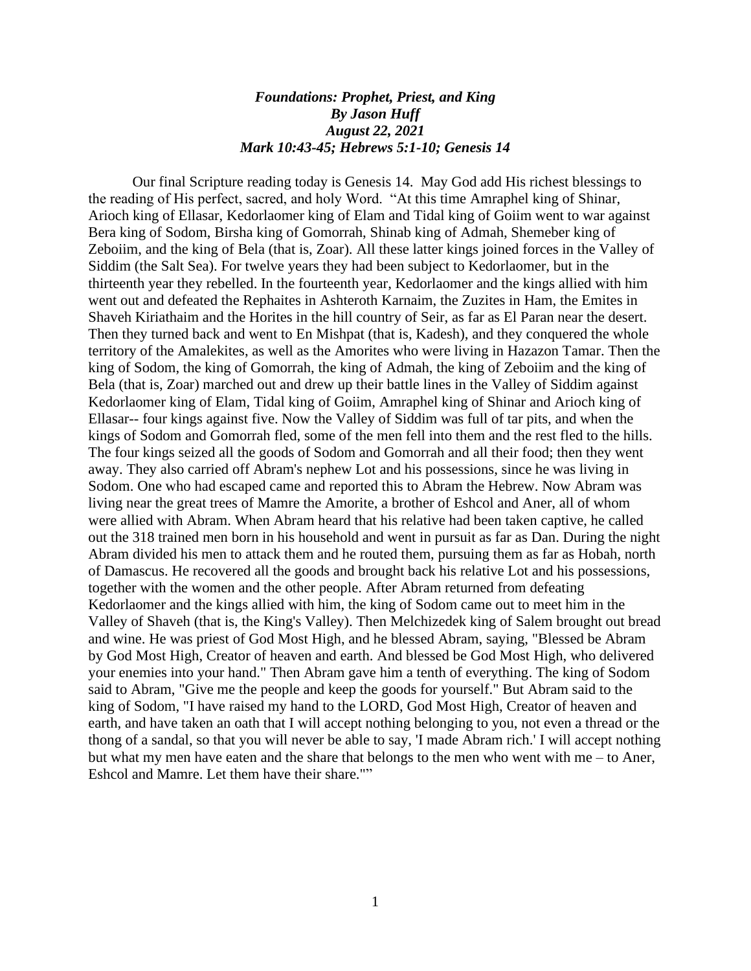## *Foundations: Prophet, Priest, and King By Jason Huff August 22, 2021 Mark 10:43-45; Hebrews 5:1-10; Genesis 14*

Our final Scripture reading today is Genesis 14. May God add His richest blessings to the reading of His perfect, sacred, and holy Word. "At this time Amraphel king of Shinar, Arioch king of Ellasar, Kedorlaomer king of Elam and Tidal king of Goiim went to war against Bera king of Sodom, Birsha king of Gomorrah, Shinab king of Admah, Shemeber king of Zeboiim, and the king of Bela (that is, Zoar). All these latter kings joined forces in the Valley of Siddim (the Salt Sea). For twelve years they had been subject to Kedorlaomer, but in the thirteenth year they rebelled. In the fourteenth year, Kedorlaomer and the kings allied with him went out and defeated the Rephaites in Ashteroth Karnaim, the Zuzites in Ham, the Emites in Shaveh Kiriathaim and the Horites in the hill country of Seir, as far as El Paran near the desert. Then they turned back and went to En Mishpat (that is, Kadesh), and they conquered the whole territory of the Amalekites, as well as the Amorites who were living in Hazazon Tamar. Then the king of Sodom, the king of Gomorrah, the king of Admah, the king of Zeboiim and the king of Bela (that is, Zoar) marched out and drew up their battle lines in the Valley of Siddim against Kedorlaomer king of Elam, Tidal king of Goiim, Amraphel king of Shinar and Arioch king of Ellasar-- four kings against five. Now the Valley of Siddim was full of tar pits, and when the kings of Sodom and Gomorrah fled, some of the men fell into them and the rest fled to the hills. The four kings seized all the goods of Sodom and Gomorrah and all their food; then they went away. They also carried off Abram's nephew Lot and his possessions, since he was living in Sodom. One who had escaped came and reported this to Abram the Hebrew. Now Abram was living near the great trees of Mamre the Amorite, a brother of Eshcol and Aner, all of whom were allied with Abram. When Abram heard that his relative had been taken captive, he called out the 318 trained men born in his household and went in pursuit as far as Dan. During the night Abram divided his men to attack them and he routed them, pursuing them as far as Hobah, north of Damascus. He recovered all the goods and brought back his relative Lot and his possessions, together with the women and the other people. After Abram returned from defeating Kedorlaomer and the kings allied with him, the king of Sodom came out to meet him in the Valley of Shaveh (that is, the King's Valley). Then Melchizedek king of Salem brought out bread and wine. He was priest of God Most High, and he blessed Abram, saying, "Blessed be Abram by God Most High, Creator of heaven and earth. And blessed be God Most High, who delivered your enemies into your hand." Then Abram gave him a tenth of everything. The king of Sodom said to Abram, "Give me the people and keep the goods for yourself." But Abram said to the king of Sodom, "I have raised my hand to the LORD, God Most High, Creator of heaven and earth, and have taken an oath that I will accept nothing belonging to you, not even a thread or the thong of a sandal, so that you will never be able to say, 'I made Abram rich.' I will accept nothing but what my men have eaten and the share that belongs to the men who went with me – to Aner, Eshcol and Mamre. Let them have their share.""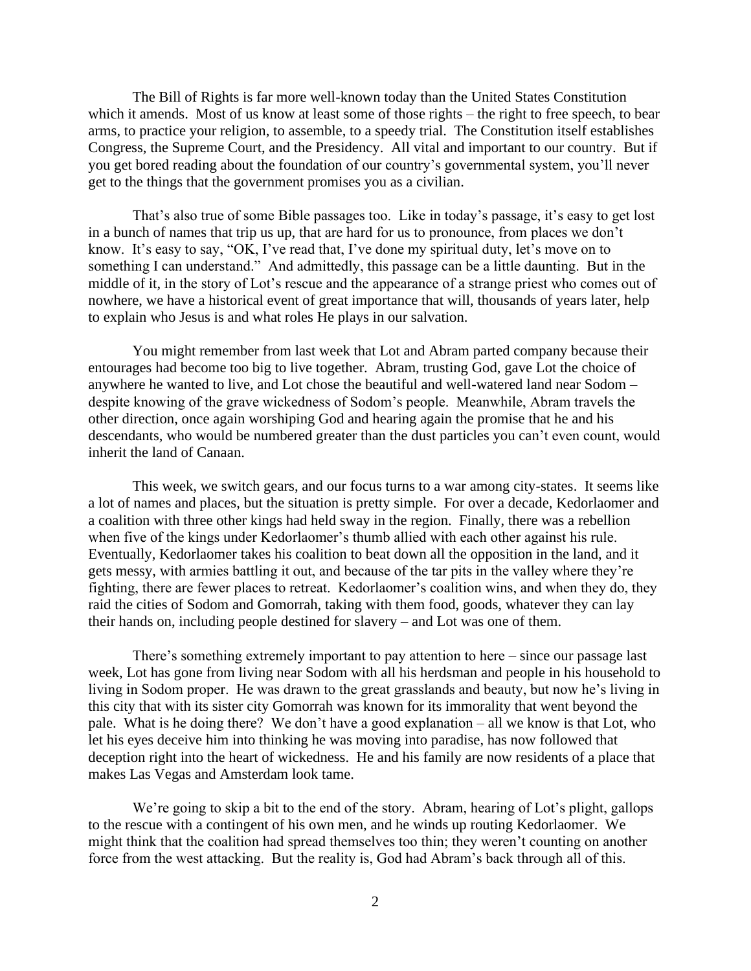The Bill of Rights is far more well-known today than the United States Constitution which it amends. Most of us know at least some of those rights – the right to free speech, to bear arms, to practice your religion, to assemble, to a speedy trial. The Constitution itself establishes Congress, the Supreme Court, and the Presidency. All vital and important to our country. But if you get bored reading about the foundation of our country's governmental system, you'll never get to the things that the government promises you as a civilian.

That's also true of some Bible passages too. Like in today's passage, it's easy to get lost in a bunch of names that trip us up, that are hard for us to pronounce, from places we don't know. It's easy to say, "OK, I've read that, I've done my spiritual duty, let's move on to something I can understand." And admittedly, this passage can be a little daunting. But in the middle of it, in the story of Lot's rescue and the appearance of a strange priest who comes out of nowhere, we have a historical event of great importance that will, thousands of years later, help to explain who Jesus is and what roles He plays in our salvation.

You might remember from last week that Lot and Abram parted company because their entourages had become too big to live together. Abram, trusting God, gave Lot the choice of anywhere he wanted to live, and Lot chose the beautiful and well-watered land near Sodom – despite knowing of the grave wickedness of Sodom's people. Meanwhile, Abram travels the other direction, once again worshiping God and hearing again the promise that he and his descendants, who would be numbered greater than the dust particles you can't even count, would inherit the land of Canaan.

This week, we switch gears, and our focus turns to a war among city-states. It seems like a lot of names and places, but the situation is pretty simple. For over a decade, Kedorlaomer and a coalition with three other kings had held sway in the region. Finally, there was a rebellion when five of the kings under Kedorlaomer's thumb allied with each other against his rule. Eventually, Kedorlaomer takes his coalition to beat down all the opposition in the land, and it gets messy, with armies battling it out, and because of the tar pits in the valley where they're fighting, there are fewer places to retreat. Kedorlaomer's coalition wins, and when they do, they raid the cities of Sodom and Gomorrah, taking with them food, goods, whatever they can lay their hands on, including people destined for slavery – and Lot was one of them.

There's something extremely important to pay attention to here – since our passage last week, Lot has gone from living near Sodom with all his herdsman and people in his household to living in Sodom proper. He was drawn to the great grasslands and beauty, but now he's living in this city that with its sister city Gomorrah was known for its immorality that went beyond the pale. What is he doing there? We don't have a good explanation – all we know is that Lot, who let his eyes deceive him into thinking he was moving into paradise, has now followed that deception right into the heart of wickedness. He and his family are now residents of a place that makes Las Vegas and Amsterdam look tame.

We're going to skip a bit to the end of the story. Abram, hearing of Lot's plight, gallops to the rescue with a contingent of his own men, and he winds up routing Kedorlaomer. We might think that the coalition had spread themselves too thin; they weren't counting on another force from the west attacking. But the reality is, God had Abram's back through all of this.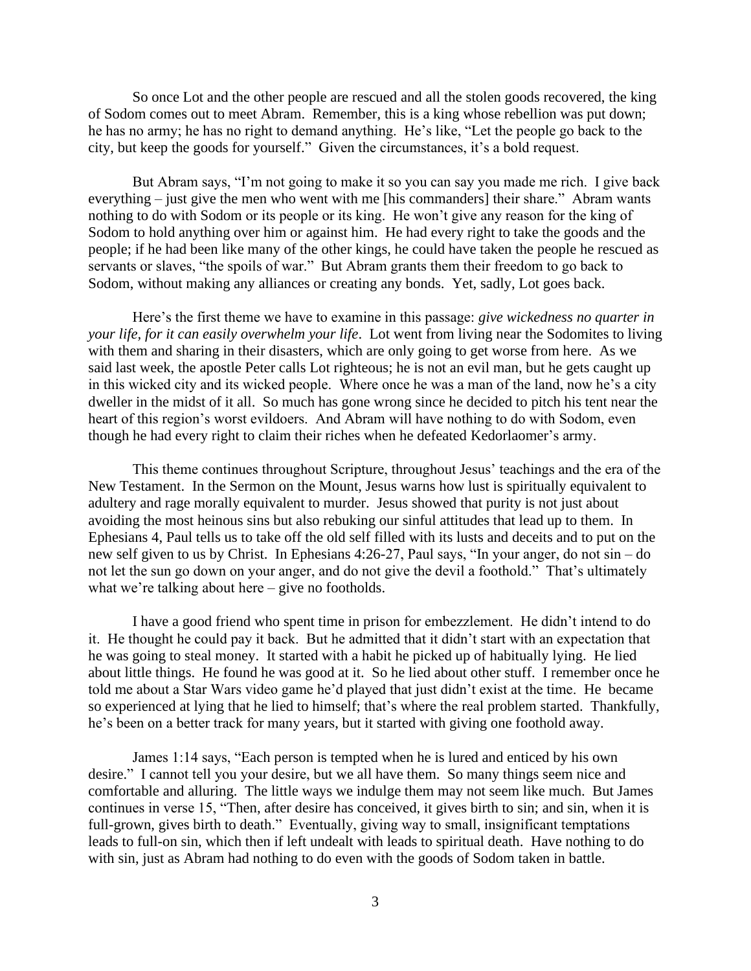So once Lot and the other people are rescued and all the stolen goods recovered, the king of Sodom comes out to meet Abram. Remember, this is a king whose rebellion was put down; he has no army; he has no right to demand anything. He's like, "Let the people go back to the city, but keep the goods for yourself." Given the circumstances, it's a bold request.

But Abram says, "I'm not going to make it so you can say you made me rich. I give back everything – just give the men who went with me [his commanders] their share." Abram wants nothing to do with Sodom or its people or its king. He won't give any reason for the king of Sodom to hold anything over him or against him. He had every right to take the goods and the people; if he had been like many of the other kings, he could have taken the people he rescued as servants or slaves, "the spoils of war." But Abram grants them their freedom to go back to Sodom, without making any alliances or creating any bonds. Yet, sadly, Lot goes back.

Here's the first theme we have to examine in this passage: *give wickedness no quarter in your life, for it can easily overwhelm your life*. Lot went from living near the Sodomites to living with them and sharing in their disasters, which are only going to get worse from here. As we said last week, the apostle Peter calls Lot righteous; he is not an evil man, but he gets caught up in this wicked city and its wicked people. Where once he was a man of the land, now he's a city dweller in the midst of it all. So much has gone wrong since he decided to pitch his tent near the heart of this region's worst evildoers. And Abram will have nothing to do with Sodom, even though he had every right to claim their riches when he defeated Kedorlaomer's army.

This theme continues throughout Scripture, throughout Jesus' teachings and the era of the New Testament. In the Sermon on the Mount, Jesus warns how lust is spiritually equivalent to adultery and rage morally equivalent to murder. Jesus showed that purity is not just about avoiding the most heinous sins but also rebuking our sinful attitudes that lead up to them. In Ephesians 4, Paul tells us to take off the old self filled with its lusts and deceits and to put on the new self given to us by Christ. In Ephesians 4:26-27, Paul says, "In your anger, do not sin – do not let the sun go down on your anger, and do not give the devil a foothold." That's ultimately what we're talking about here – give no footholds.

I have a good friend who spent time in prison for embezzlement. He didn't intend to do it. He thought he could pay it back. But he admitted that it didn't start with an expectation that he was going to steal money. It started with a habit he picked up of habitually lying. He lied about little things. He found he was good at it. So he lied about other stuff. I remember once he told me about a Star Wars video game he'd played that just didn't exist at the time. He became so experienced at lying that he lied to himself; that's where the real problem started. Thankfully, he's been on a better track for many years, but it started with giving one foothold away.

James 1:14 says, "Each person is tempted when he is lured and enticed by his own desire." I cannot tell you your desire, but we all have them. So many things seem nice and comfortable and alluring. The little ways we indulge them may not seem like much. But James continues in verse 15, "Then, after desire has conceived, it gives birth to sin; and sin, when it is full-grown, gives birth to death." Eventually, giving way to small, insignificant temptations leads to full-on sin, which then if left undealt with leads to spiritual death. Have nothing to do with sin, just as Abram had nothing to do even with the goods of Sodom taken in battle.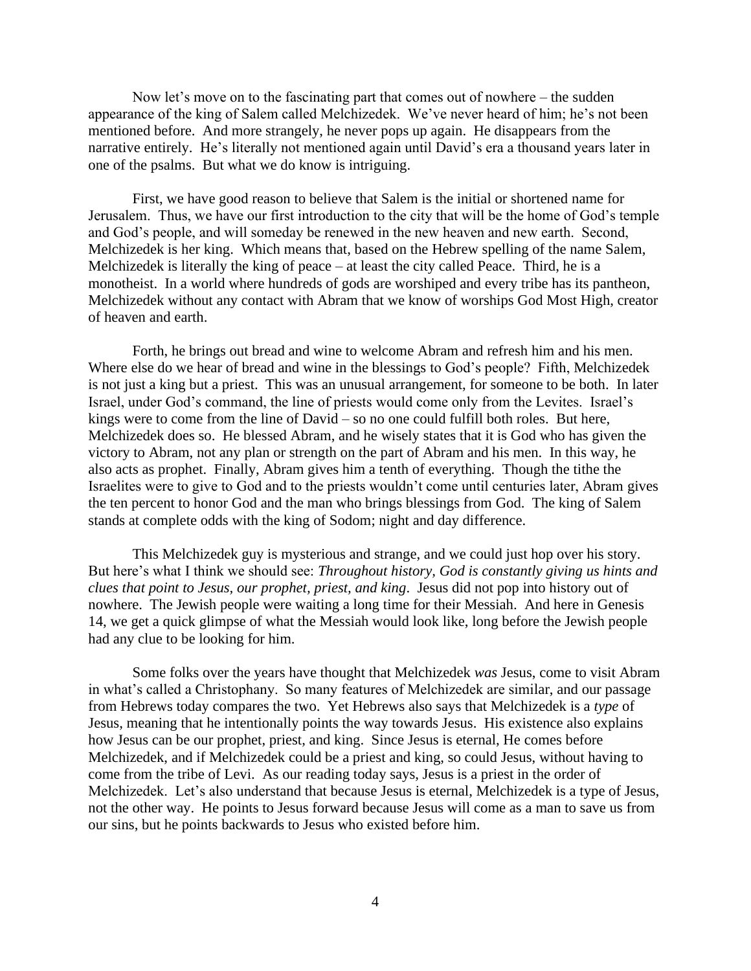Now let's move on to the fascinating part that comes out of nowhere – the sudden appearance of the king of Salem called Melchizedek. We've never heard of him; he's not been mentioned before. And more strangely, he never pops up again. He disappears from the narrative entirely. He's literally not mentioned again until David's era a thousand years later in one of the psalms. But what we do know is intriguing.

First, we have good reason to believe that Salem is the initial or shortened name for Jerusalem. Thus, we have our first introduction to the city that will be the home of God's temple and God's people, and will someday be renewed in the new heaven and new earth. Second, Melchizedek is her king. Which means that, based on the Hebrew spelling of the name Salem, Melchizedek is literally the king of peace – at least the city called Peace. Third, he is a monotheist. In a world where hundreds of gods are worshiped and every tribe has its pantheon, Melchizedek without any contact with Abram that we know of worships God Most High, creator of heaven and earth.

Forth, he brings out bread and wine to welcome Abram and refresh him and his men. Where else do we hear of bread and wine in the blessings to God's people? Fifth, Melchizedek is not just a king but a priest. This was an unusual arrangement, for someone to be both. In later Israel, under God's command, the line of priests would come only from the Levites. Israel's kings were to come from the line of David – so no one could fulfill both roles. But here, Melchizedek does so. He blessed Abram, and he wisely states that it is God who has given the victory to Abram, not any plan or strength on the part of Abram and his men. In this way, he also acts as prophet. Finally, Abram gives him a tenth of everything. Though the tithe the Israelites were to give to God and to the priests wouldn't come until centuries later, Abram gives the ten percent to honor God and the man who brings blessings from God. The king of Salem stands at complete odds with the king of Sodom; night and day difference.

This Melchizedek guy is mysterious and strange, and we could just hop over his story. But here's what I think we should see: *Throughout history, God is constantly giving us hints and clues that point to Jesus, our prophet, priest, and king*. Jesus did not pop into history out of nowhere. The Jewish people were waiting a long time for their Messiah. And here in Genesis 14, we get a quick glimpse of what the Messiah would look like, long before the Jewish people had any clue to be looking for him.

Some folks over the years have thought that Melchizedek *was* Jesus, come to visit Abram in what's called a Christophany. So many features of Melchizedek are similar, and our passage from Hebrews today compares the two. Yet Hebrews also says that Melchizedek is a *type* of Jesus, meaning that he intentionally points the way towards Jesus. His existence also explains how Jesus can be our prophet, priest, and king. Since Jesus is eternal, He comes before Melchizedek, and if Melchizedek could be a priest and king, so could Jesus, without having to come from the tribe of Levi. As our reading today says, Jesus is a priest in the order of Melchizedek. Let's also understand that because Jesus is eternal, Melchizedek is a type of Jesus, not the other way. He points to Jesus forward because Jesus will come as a man to save us from our sins, but he points backwards to Jesus who existed before him.